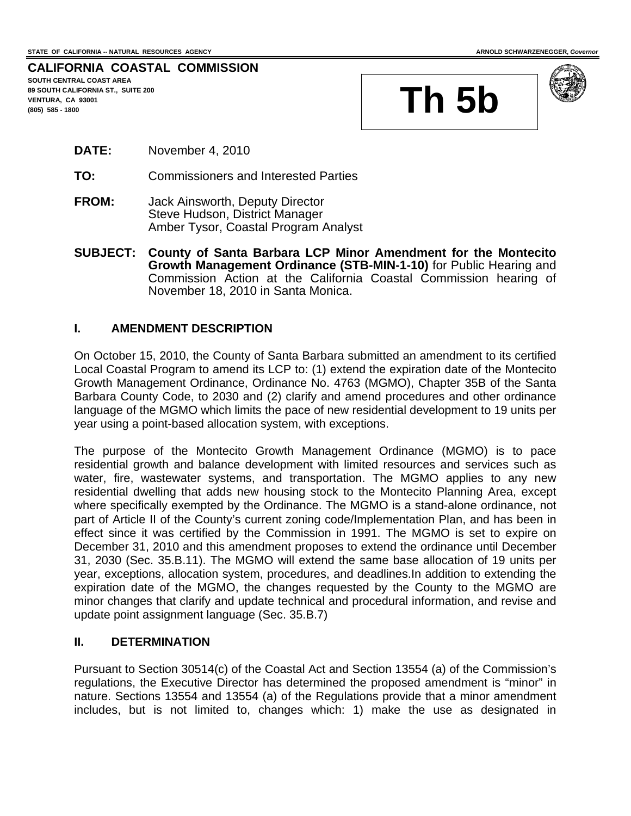#### **CALIFORNIA COASTAL COMMISSION SOUTH CENTRAL COAST AREA 89 SOUTH CALIFORNIA ST., SUITE 200**

**VENTURA, CA 93001** 





- **DATE:** November 4, 2010
- **TO:** Commissioners and Interested Parties
- **FROM:** Jack Ainsworth, Deputy Director Steve Hudson, District Manager Amber Tysor, Coastal Program Analyst
- **SUBJECT: County of Santa Barbara LCP Minor Amendment for the Montecito Growth Management Ordinance (STB-MIN-1-10)** for Public Hearing and Commission Action at the California Coastal Commission hearing of November 18, 2010 in Santa Monica.

### **I. AMENDMENT DESCRIPTION**

On October 15, 2010, the County of Santa Barbara submitted an amendment to its certified Local Coastal Program to amend its LCP to: (1) extend the expiration date of the Montecito Growth Management Ordinance, Ordinance No. 4763 (MGMO), Chapter 35B of the Santa Barbara County Code, to 2030 and (2) clarify and amend procedures and other ordinance language of the MGMO which limits the pace of new residential development to 19 units per year using a point-based allocation system, with exceptions.

The purpose of the Montecito Growth Management Ordinance (MGMO) is to pace residential growth and balance development with limited resources and services such as water, fire, wastewater systems, and transportation. The MGMO applies to any new residential dwelling that adds new housing stock to the Montecito Planning Area, except where specifically exempted by the Ordinance. The MGMO is a stand-alone ordinance, not part of Article II of the County's current zoning code/Implementation Plan, and has been in effect since it was certified by the Commission in 1991. The MGMO is set to expire on December 31, 2010 and this amendment proposes to extend the ordinance until December 31, 2030 (Sec. 35.B.11). The MGMO will extend the same base allocation of 19 units per year, exceptions, allocation system, procedures, and deadlines.In addition to extending the expiration date of the MGMO, the changes requested by the County to the MGMO are minor changes that clarify and update technical and procedural information, and revise and update point assignment language (Sec. 35.B.7)

### **II. DETERMINATION**

Pursuant to Section 30514(c) of the Coastal Act and Section 13554 (a) of the Commission's regulations, the Executive Director has determined the proposed amendment is "minor" in nature. Sections 13554 and 13554 (a) of the Regulations provide that a minor amendment includes, but is not limited to, changes which: 1) make the use as designated in